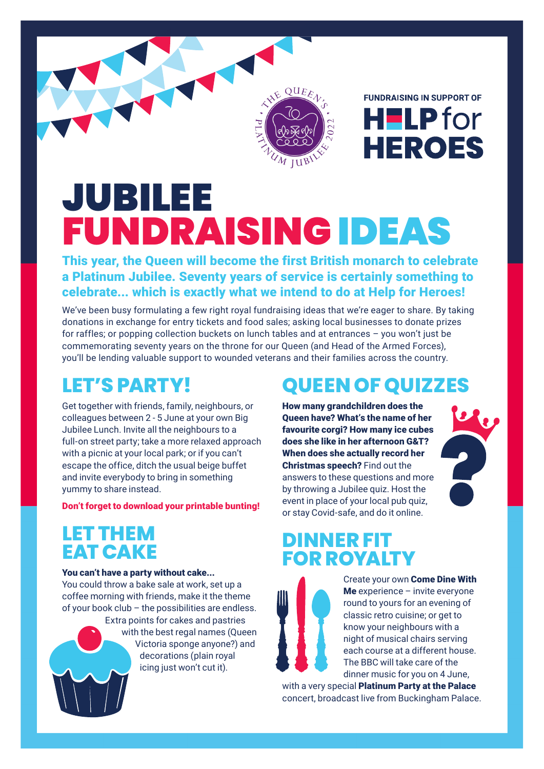

**FUNDRAISING IN SUPPORT OF** H**ELP** for **HEROES** 

# JUBILEE FUNDRAISINGIDEAS

This year, the Queen will become the first British monarch to celebrate a Platinum Jubilee. Seventy years of service is certainly something to celebrate... which is exactly what we intend to do at Help for Heroes!

We've been busy formulating a few right royal fundraising ideas that we're eager to share. By taking donations in exchange for entry tickets and food sales; asking local businesses to donate prizes for raffles; or popping collection buckets on lunch tables and at entrances – you won't just be commemorating seventy years on the throne for our Queen (and Head of the Armed Forces), you'll be lending valuable support to wounded veterans and their families across the country.

# **LET'S PARTY!**

Get together with friends, family, neighbours, or colleagues between 2 - 5 June at your own Big Jubilee Lunch. Invite all the neighbours to a full-on street party; take a more relaxed approach with a picnic at your local park; or if you can't escape the office, ditch the usual beige buffet and invite everybody to bring in something yummy to share instead.

[Don't forget to download your printable bunting!](https://www.helpforheroes.org.uk/media/erthjtkl/2022-0015-community-fundraising_jubilee_diy-bunting-a4-aw.pdf) 

#### **LET THEM EAT CAKE**

#### You can't have a party without cake...

You could throw a bake sale at work, set up a coffee morning with friends, make it the theme of your book club – the possibilities are endless.



Extra points for cakes and pastries with the best regal names (Queen Victoria sponge anyone?) and decorations (plain royal icing just won't cut it).

# **QUEEN OF QUIZZES**

How many grandchildren does the Queen have? What's the name of her favourite corgi? How many ice cubes does she like in her afternoon G&T? When does she actually record her Christmas speech? Find out the answers to these questions and more by throwing a Jubilee quiz. Host the event in place of your local pub quiz, or stay Covid-safe, and do it online.



### **DINNER FIT FOR ROYALTY**



Create your own Come Dine With **Me** experience  $-$  invite everyone round to yours for an evening of classic retro cuisine; or get to know your neighbours with a night of musical chairs serving each course at a different house. The BBC will take care of the dinner music for you on 4 June,

with a very special Platinum Party at the Palace concert, broadcast live from Buckingham Palace.